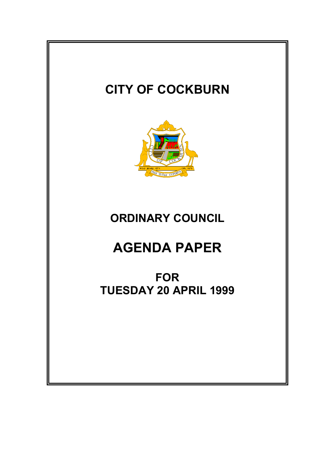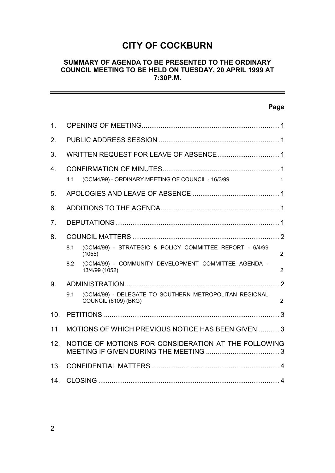# **CITY OF COCKBURN**

### **SUMMARY OF AGENDA TO BE PRESENTED TO THE ORDINARY COUNCIL MEETING TO BE HELD ON TUESDAY, 20 APRIL 1999 AT 7:30P.M.**

-

|                |                                                      |                                                                                | Page           |  |
|----------------|------------------------------------------------------|--------------------------------------------------------------------------------|----------------|--|
| 1 <sub>1</sub> |                                                      |                                                                                |                |  |
| 2 <sub>1</sub> |                                                      |                                                                                |                |  |
| 3.             |                                                      |                                                                                |                |  |
| 4.             |                                                      |                                                                                |                |  |
|                | 4.1                                                  | (OCM4/99) - ORDINARY MEETING OF COUNCIL - 16/3/99                              | 1              |  |
| 5.             |                                                      |                                                                                |                |  |
| 6.             |                                                      |                                                                                |                |  |
| 7 <sub>1</sub> |                                                      |                                                                                |                |  |
| 8.             |                                                      |                                                                                |                |  |
|                | 8.1                                                  | (OCM4/99) - STRATEGIC & POLICY COMMITTEE REPORT - 6/4/99<br>(1055)             | $\overline{2}$ |  |
|                | 8.2                                                  | (OCM4/99) - COMMUNITY DEVELOPMENT COMMITTEE AGENDA -<br>13/4/99 (1052)         | $\overline{2}$ |  |
| 9.             |                                                      |                                                                                |                |  |
|                | 9.1                                                  | (OCM4/99) - DELEGATE TO SOUTHERN METROPOLITAN REGIONAL<br>COUNCIL (6109) (BKG) | $\overline{2}$ |  |
| 10.            |                                                      |                                                                                |                |  |
| 11.            | MOTIONS OF WHICH PREVIOUS NOTICE HAS BEEN GIVEN3     |                                                                                |                |  |
| 12.            | NOTICE OF MOTIONS FOR CONSIDERATION AT THE FOLLOWING |                                                                                |                |  |
| 13.            |                                                      |                                                                                |                |  |
| 14.            |                                                      |                                                                                |                |  |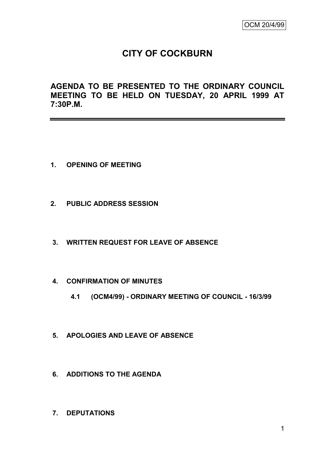# **CITY OF COCKBURN**

**AGENDA TO BE PRESENTED TO THE ORDINARY COUNCIL MEETING TO BE HELD ON TUESDAY, 20 APRIL 1999 AT 7:30P.M.**

- **1. OPENING OF MEETING**
- **2. PUBLIC ADDRESS SESSION**
- **3. WRITTEN REQUEST FOR LEAVE OF ABSENCE**
- **4. CONFIRMATION OF MINUTES**
	- **4.1 (OCM4/99) - ORDINARY MEETING OF COUNCIL - 16/3/99**
- **5. APOLOGIES AND LEAVE OF ABSENCE**
- **6. ADDITIONS TO THE AGENDA**
- **7. DEPUTATIONS**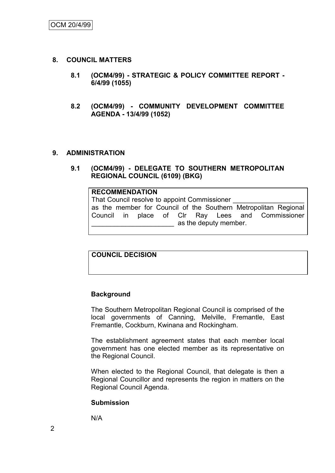- **8. COUNCIL MATTERS**
	- **8.1 (OCM4/99) - STRATEGIC & POLICY COMMITTEE REPORT - 6/4/99 (1055)**
	- **8.2 (OCM4/99) - COMMUNITY DEVELOPMENT COMMITTEE AGENDA - 13/4/99 (1052)**

#### **9. ADMINISTRATION**

**9.1 (OCM4/99) - DELEGATE TO SOUTHERN METROPOLITAN REGIONAL COUNCIL (6109) (BKG)**

#### **RECOMMENDATION**

That Council resolve to appoint Commissioner as the member for Council of the Southern Metropolitan Regional Council in place of Clr Ray Lees and Commissioner as the deputy member.

### **COUNCIL DECISION**

#### **Background**

The Southern Metropolitan Regional Council is comprised of the local governments of Canning, Melville, Fremantle, East Fremantle, Cockburn, Kwinana and Rockingham.

The establishment agreement states that each member local government has one elected member as its representative on the Regional Council.

When elected to the Regional Council, that delegate is then a Regional Councillor and represents the region in matters on the Regional Council Agenda.

#### **Submission**

N/A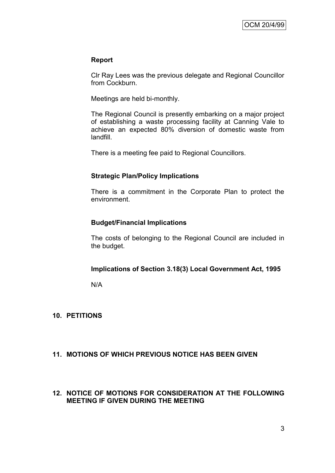#### **Report**

Clr Ray Lees was the previous delegate and Regional Councillor from Cockburn.

Meetings are held bi-monthly.

The Regional Council is presently embarking on a major project of establishing a waste processing facility at Canning Vale to achieve an expected 80% diversion of domestic waste from landfill.

There is a meeting fee paid to Regional Councillors.

### **Strategic Plan/Policy Implications**

There is a commitment in the Corporate Plan to protect the environment.

### **Budget/Financial Implications**

The costs of belonging to the Regional Council are included in the budget.

#### **Implications of Section 3.18(3) Local Government Act, 1995**

N/A

#### **10. PETITIONS**

### **11. MOTIONS OF WHICH PREVIOUS NOTICE HAS BEEN GIVEN**

#### **12. NOTICE OF MOTIONS FOR CONSIDERATION AT THE FOLLOWING MEETING IF GIVEN DURING THE MEETING**